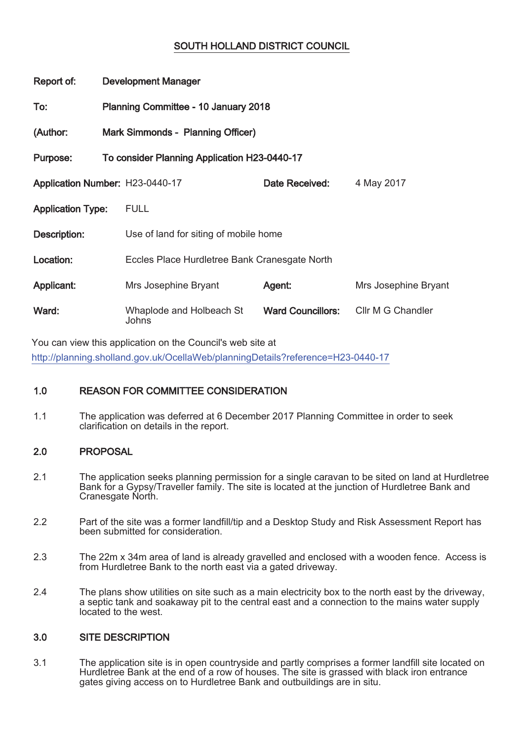# SOUTH HOLLAND DISTRICT COUNCIL

| Report of:                      | <b>Development Manager</b>                   |                                               |                          |                      |
|---------------------------------|----------------------------------------------|-----------------------------------------------|--------------------------|----------------------|
| To:                             | Planning Committee - 10 January 2018         |                                               |                          |                      |
| (Author:                        | Mark Simmonds - Planning Officer)            |                                               |                          |                      |
| Purpose:                        | To consider Planning Application H23-0440-17 |                                               |                          |                      |
| Application Number: H23-0440-17 |                                              |                                               | Date Received:           | 4 May 2017           |
| <b>Application Type:</b>        |                                              | <b>FULL</b>                                   |                          |                      |
| Description:                    |                                              | Use of land for siting of mobile home         |                          |                      |
| Location:                       |                                              | Eccles Place Hurdletree Bank Cranesgate North |                          |                      |
| Applicant:                      |                                              | Mrs Josephine Bryant                          | Agent:                   | Mrs Josephine Bryant |
| Ward:                           |                                              | Whaplode and Holbeach St<br>Johns             | <b>Ward Councillors:</b> | Cllr M G Chandler    |

You can view this application on the Council's web site at http://planning.sholland.gov.uk/OcellaWeb/planningDetails?reference=H23-0440-17

# 1.0 REASON FOR COMMITTEE CONSIDERATION

1.1 The application was deferred at 6 December 2017 Planning Committee in order to seek clarification on details in the report.

# 2.0 PROPOSAL

- 2.1 The application seeks planning permission for a single caravan to be sited on land at Hurdletree Bank for a Gypsy/Traveller family. The site is located at the junction of Hurdletree Bank and Cranesgate North.
- 2.2 Part of the site was a former landfill/tip and a Desktop Study and Risk Assessment Report has been submitted for consideration.
- 2.3 The 22m x 34m area of land is already gravelled and enclosed with a wooden fence. Access is from Hurdletree Bank to the north east via a gated driveway.
- 2.4 The plans show utilities on site such as a main electricity box to the north east by the driveway, a septic tank and soakaway pit to the central east and a connection to the mains water supply located to the west.

## 3.0 SITE DESCRIPTION

3.1 The application site is in open countryside and partly comprises a former landfill site located on Hurdletree Bank at the end of a row of houses. The site is grassed with black iron entrance gates giving access on to Hurdletree Bank and outbuildings are in situ.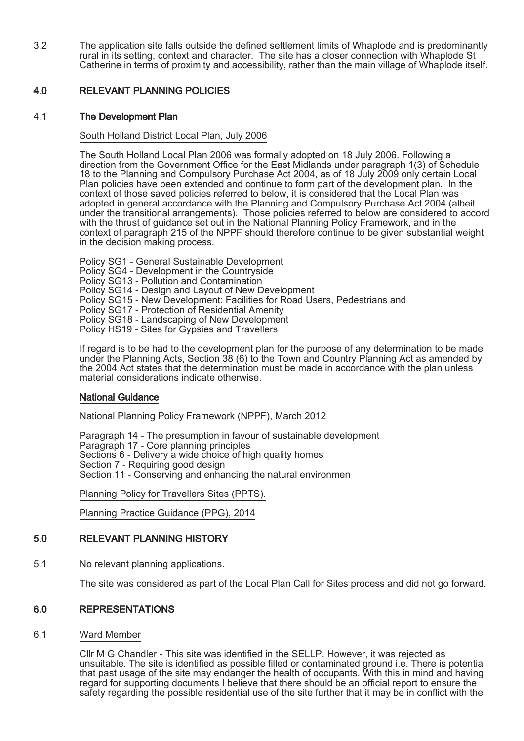3.2 The application site falls outside the defined settlement limits of Whaplode and is predominantly rural in its setting, context and character. The site has a closer connection with Whaplode St Catherine in terms of proximity and accessibility, rather than the main village of Whaplode itself.

# 4.0 RELEVANT PLANNING POLICIES

## 4.1 The Development Plan

### South Holland District Local Plan, July 2006

The South Holland Local Plan 2006 was formally adopted on 18 July 2006. Following a direction from the Government Office for the East Midlands under paragraph 1(3) of Schedule 18 to the Planning and Compulsory Purchase Act 2004, as of 18 July 2009 only certain Local Plan policies have been extended and continue to form part of the development plan. In the context of those saved policies referred to below, it is considered that the Local Plan was adopted in general accordance with the Planning and Compulsory Purchase Act 2004 (albeit under the transitional arrangements). Those policies referred to below are considered to accord with the thrust of guidance set out in the National Planning Policy Framework, and in the context of paragraph 215 of the NPPF should therefore continue to be given substantial weight in the decision making process.

Policy SG1 - General Sustainable Development Policy SG4 - Development in the Countryside Policy SG13 - Pollution and Contamination Policy SG14 - Design and Layout of New Development Policy SG15 - New Development: Facilities for Road Users, Pedestrians and Policy SG17 - Protection of Residential Amenity Policy SG18 - Landscaping of New Development Policy HS19 - Sites for Gypsies and Travellers

If regard is to be had to the development plan for the purpose of any determination to be made under the Planning Acts, Section 38 (6) to the Town and Country Planning Act as amended by the 2004 Act states that the determination must be made in accordance with the plan unless material considerations indicate otherwise.

## National Guidance

National Planning Policy Framework (NPPF), March 2012

Paragraph 14 - The presumption in favour of sustainable development Paragraph 17 - Core planning principles Sections 6 - Delivery a wide choice of high quality homes Section 7 - Requiring good design Section 11 - Conserving and enhancing the natural environmen

Planning Policy for Travellers Sites (PPTS).

Planning Practice Guidance (PPG), 2014

## 5.0 RELEVANT PLANNING HISTORY

5.1 No relevant planning applications.

The site was considered as part of the Local Plan Call for Sites process and did not go forward.

## 6.0 REPRESENTATIONS

6.1 Ward Member

Cllr M G Chandler - This site was identified in the SELLP. However, it was rejected as unsuitable. The site is identified as possible filled or contaminated ground i.e. There is potential that past usage of the site may endanger the health of occupants. With this in mind and having regard for supporting documents I believe that there should be an official report to ensure the safety regarding the possible residential use of the site further that it may be in conflict with the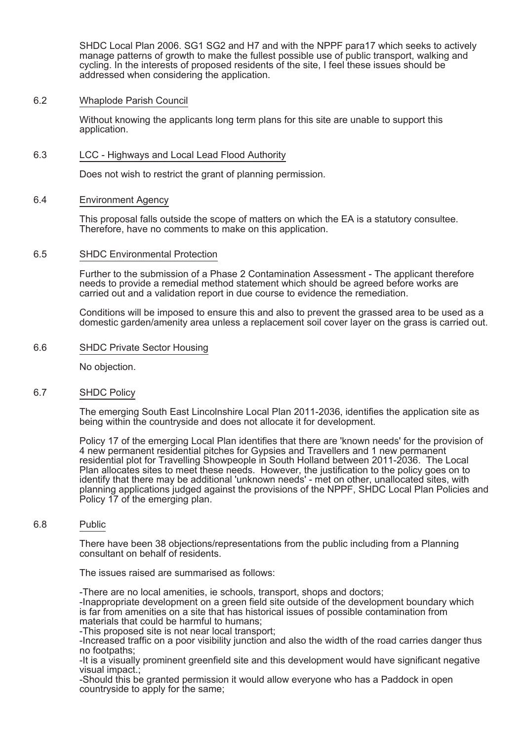SHDC Local Plan 2006. SG1 SG2 and H7 and with the NPPF para17 which seeks to actively manage patterns of growth to make the fullest possible use of public transport, walking and cycling. In the interests of proposed residents of the site, I feel these issues should be addressed when considering the application.

#### 6.2 Whaplode Parish Council

Without knowing the applicants long term plans for this site are unable to support this application.

#### 6.3 LCC - Highways and Local Lead Flood Authority

Does not wish to restrict the grant of planning permission.

#### 6.4 Environment Agency

This proposal falls outside the scope of matters on which the EA is a statutory consultee. Therefore, have no comments to make on this application.

#### 6.5 SHDC Environmental Protection

Further to the submission of a Phase 2 Contamination Assessment - The applicant therefore needs to provide a remedial method statement which should be agreed before works are carried out and a validation report in due course to evidence the remediation.

Conditions will be imposed to ensure this and also to prevent the grassed area to be used as a domestic garden/amenity area unless a replacement soil cover layer on the grass is carried out.

#### 6.6 SHDC Private Sector Housing

No objection.

#### 6.7 SHDC Policy

The emerging South East Lincolnshire Local Plan 2011-2036, identifies the application site as being within the countryside and does not allocate it for development.

Policy 17 of the emerging Local Plan identifies that there are 'known needs' for the provision of 4 new permanent residential pitches for Gypsies and Travellers and 1 new permanent residential plot for Travelling Showpeople in South Holland between 2011-2036. The Local Plan allocates sites to meet these needs. However, the justification to the policy goes on to identify that there may be additional 'unknown needs' - met on other, unallocated sites, with planning applications judged against the provisions of the NPPF, SHDC Local Plan Policies and Policy 17 of the emerging plan.

#### 6.8 Public

There have been 38 objections/representations from the public including from a Planning consultant on behalf of residents.

The issues raised are summarised as follows:

-There are no local amenities, ie schools, transport, shops and doctors;

-Inappropriate development on a green field site outside of the development boundary which is far from amenities on a site that has historical issues of possible contamination from materials that could be harmful to humans;

-This proposed site is not near local transport:

-Increased traffic on a poor visibility junction and also the width of the road carries danger thus no footpaths;

-It is a visually prominent greenfield site and this development would have significant negative visual impact.;

-Should this be granted permission it would allow everyone who has a Paddock in open country side to apply for the same: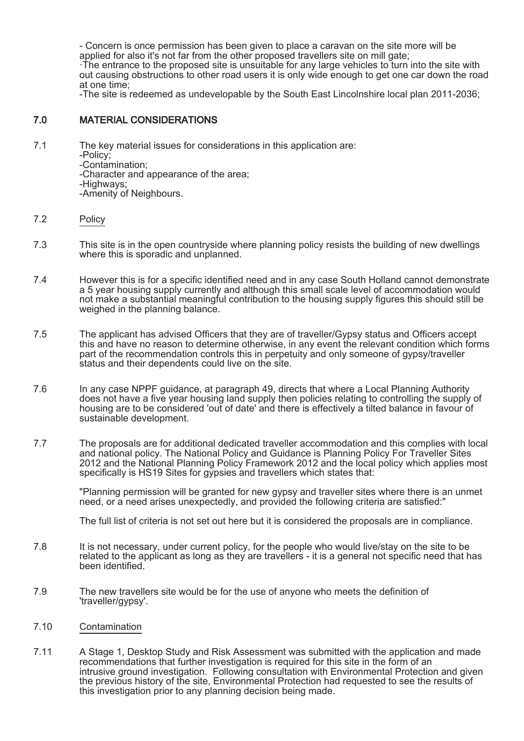- Concern is once permission has been given to place a caravan on the site more will be applied for also it's not far from the other proposed travellers site on mill gate;

·The entrance to the proposed site is unsuitable for any large vehicles to turn into the site with out causing obstructions to other road users it is only wide enough to get one car down the road at one time;

-The site is redeemed as undevelopable by the South East Lincolnshire local plan 2011-2036;

# 7.0 MATERIAL CONSIDERATIONS

- 7.1 The key material issues for considerations in this application are:
	- -Policy;
	- -Contamination;

-Character and appearance of the area;

-Highways;

-Amenity of Neighbours.

### 7.2 Policy

- 7.3 This site is in the open countryside where planning policy resists the building of new dwellings where this is sporadic and unplanned.
- 7.4 However this is for a specific identified need and in any case South Holland cannot demonstrate a 5 year housing supply currently and although this small scale level of accommodation would not make a substantial meaningful contribution to the housing supply figures this should still be weighed in the planning balance.
- 7.5 The applicant has advised Officers that they are of traveller/Gypsy status and Officers accept this and have no reason to determine otherwise, in any event the relevant condition which forms part of the recommendation controls this in perpetuity and only someone of gypsy/traveller status and their dependents could live on the site.
- 7.6 In any case NPPF guidance, at paragraph 49, directs that where a Local Planning Authority does not have a five year housing land supply then policies relating to controlling the supply of housing are to be considered 'out of date' and there is effectively a tilted balance in favour of sustainable development.
- 7.7 The proposals are for additional dedicated traveller accommodation and this complies with local and national policy. The National Policy and Guidance is Planning Policy For Traveller Sites 2012 and the National Planning Policy Framework 2012 and the local policy which applies most specifically is HS19 Sites for gypsies and travellers which states that:

"Planning permission will be granted for new gypsy and traveller sites where there is an unmet need, or a need arises unexpectedly, and provided the following criteria are satisfied:"

The full list of criteria is not set out here but it is considered the proposals are in compliance.

- 7.8 It is not necessary, under current policy, for the people who would live/stay on the site to be related to the applicant as long as they are travellers - it is a general not specific need that has been identified.
- 7.9 The new travellers site would be for the use of anyone who meets the definition of 'traveller/gypsy'.

#### 7.10 Contamination

7.11 A Stage 1, Desktop Study and Risk Assessment was submitted with the application and made recommendations that further investigation is required for this site in the form of an intrusive ground investigation. Following consultation with Environmental Protection and given the previous history of the site, Environmental Protection had requested to see the results of this investigation prior to any planning decision being made.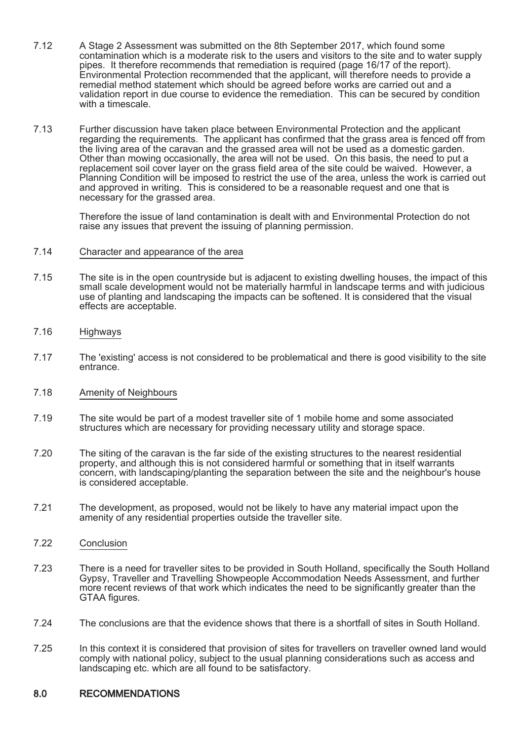- 7.12 A Stage 2 Assessment was submitted on the 8th September 2017, which found some contamination which is a moderate risk to the users and visitors to the site and to water supply pipes. It therefore recommends that remediation is required (page 16/17 of the report). Environmental Protection recommended that the applicant, will therefore needs to provide a remedial method statement which should be agreed before works are carried out and a validation report in due course to evidence the remediation. This can be secured by condition with a timescale.
- 7.13 Further discussion have taken place between Environmental Protection and the applicant regarding the requirements. The applicant has confirmed that the grass area is fenced off from the living area of the caravan and the grassed area will not be used as a domestic garden. Other than mowing occasionally, the area will not be used. On this basis, the need to put a replacement soil cover layer on the grass field area of the site could be waived. However, a Planning Condition will be imposed to restrict the use of the area, unless the work is carried out and approved in writing. This is considered to be a reasonable request and one that is necessary for the grassed area.

Therefore the issue of land contamination is dealt with and Environmental Protection do not raise any issues that prevent the issuing of planning permission.

#### 7.14 Character and appearance of the area

- 7.15 The site is in the open countryside but is adjacent to existing dwelling houses, the impact of this small scale development would not be materially harmful in landscape terms and with judicious use of planting and landscaping the impacts can be softened. It is considered that the visual effects are acceptable.
- 7.16 Highways
- 7.17 The 'existing' access is not considered to be problematical and there is good visibility to the site entrance.
- 7.18 Amenity of Neighbours
- 7.19 The site would be part of a modest traveller site of 1 mobile home and some associated structures which are necessary for providing necessary utility and storage space.
- 7.20 The siting of the caravan is the far side of the existing structures to the nearest residential property, and although this is not considered harmful or something that in itself warrants concern, with landscaping/planting the separation between the site and the neighbour's house is considered acceptable.
- 7.21 The development, as proposed, would not be likely to have any material impact upon the amenity of any residential properties outside the traveller site.
- 7.22 Conclusion
- 7.23 There is a need for traveller sites to be provided in South Holland, specifically the South Holland Gypsy, Traveller and Travelling Showpeople Accommodation Needs Assessment, and further more recent reviews of that work which indicates the need to be significantly greater than the GTAA figures.
- 7.24 The conclusions are that the evidence shows that there is a shortfall of sites in South Holland.
- 7.25 In this context it is considered that provision of sites for travellers on traveller owned land would comply with national policy, subject to the usual planning considerations such as access and landscaping etc. which are all found to be satisfactory.

#### 8.0 RECOMMENDATIONS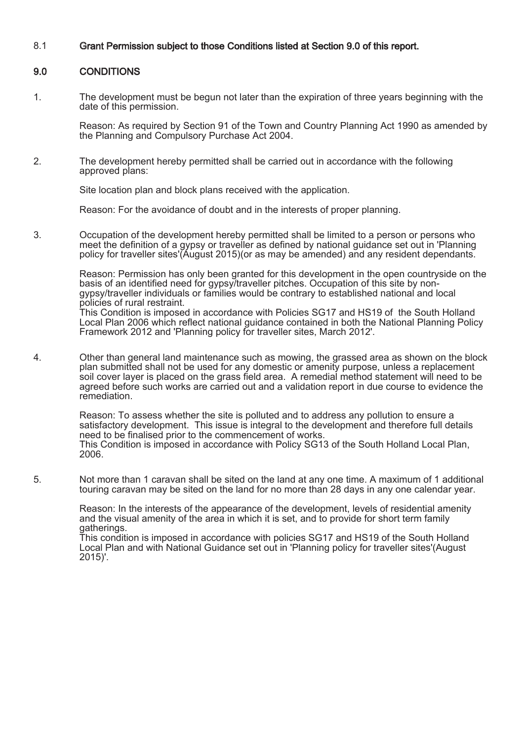### 8.1 Grant Permission subject to those Conditions listed at Section 9.0 of this report.

### 9.0 CONDITIONS

1. The development must be begun not later than the expiration of three years beginning with the date of this permission.

Reason: As required by Section 91 of the Town and Country Planning Act 1990 as amended by the Planning and Compulsory Purchase Act 2004.

2. The development hereby permitted shall be carried out in accordance with the following approved plans:

Site location plan and block plans received with the application.

Reason: For the avoidance of doubt and in the interests of proper planning.

3. Occupation of the development hereby permitted shall be limited to a person or persons who meet the definition of a gypsy or traveller as defined by national guidance set out in 'Planning policy for traveller sites'(August 2015)(or as may be amended) and any resident dependants.

> Reason: Permission has only been granted for this development in the open countryside on the basis of an identified need for gypsy/traveller pitches. Occupation of this site by nongypsy/traveller individuals or families would be contrary to established national and local policies of rural restraint.

> This Condition is imposed in accordance with Policies SG17 and HS19 of the South Holland Local Plan 2006 which reflect national guidance contained in both the National Planning Policy Framework 2012 and 'Planning policy for traveller sites, March 2012'.

4. Other than general land maintenance such as mowing, the grassed area as shown on the block plan submitted shall not be used for any domestic or amenity purpose, unless a replacement soil cover layer is placed on the grass field area. A remedial method statement will need to be agreed before such works are carried out and a validation report in due course to evidence the remediation.

Reason: To assess whether the site is polluted and to address any pollution to ensure a satisfactory development. This issue is integral to the development and therefore full details need to be finalised prior to the commencement of works. This Condition is imposed in accordance with Policy SG13 of the South Holland Local Plan, 2006.

5. Not more than 1 caravan shall be sited on the land at any one time. A maximum of 1 additional touring caravan may be sited on the land for no more than 28 days in any one calendar year.

> Reason: In the interests of the appearance of the development, levels of residential amenity and the visual amenity of the area in which it is set, and to provide for short term family gatherings.

> This condition is imposed in accordance with policies SG17 and HS19 of the South Holland Local Plan and with National Guidance set out in 'Planning policy for traveller sites'(August 2015)'.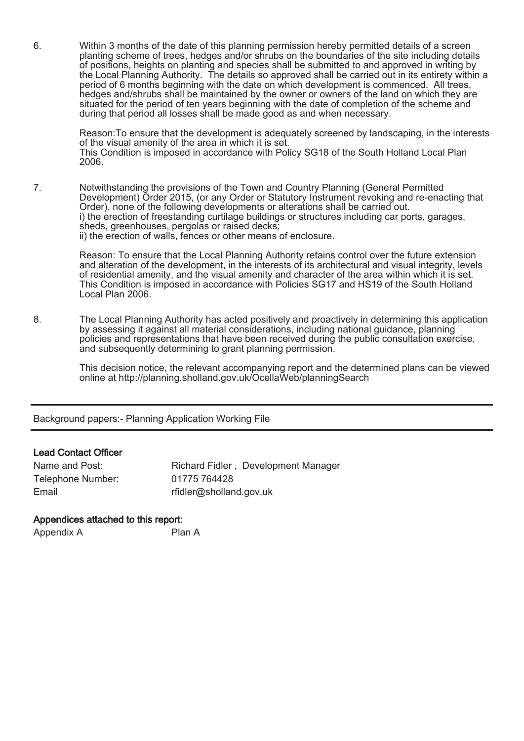6. Within 3 months of the date of this planning permission hereby permitted details of a screen planting scheme of trees, hedges and/or shrubs on the boundaries of the site including details of positions, heights on planting and species shall be submitted to and approved in writing by the Local Planning Authority. The details so approved shall be carried out in its entirety within a period of 6 months beginning with the date on which development is commenced. All trees, hedges and/shrubs shall be maintained by the owner or owners of the land on which they are situated for the period of ten years beginning with the date of completion of the scheme and during that period all losses shall be made good as and when necessary.

Reason:To ensure that the development is adequately screened by landscaping, in the interests of the visual amenity of the area in which it is set. This Condition is imposed in accordance with Policy SG18 of the South Holland Local Plan 2006.

7. Notwithstanding the provisions of the Town and Country Planning (General Permitted Development) Order 2015, (or any Order or Statutory Instrument revoking and re-enacting that Order), none of the following developments or alterations shall be carried out. i) the erection of freestanding curtilage buildings or structures including car ports, garages, sheds, greenhouses, pergolas or raised decks; ii) the erection of walls, fences or other means of enclosure.

> Reason: To ensure that the Local Planning Authority retains control over the future extension and alteration of the development, in the interests of its architectural and visual integrity, levels of residential amenity, and the visual amenity and character of the area within which it is set. This Condition is imposed in accordance with Policies SG17 and HS19 of the South Holland Local Plan 2006.

8. The Local Planning Authority has acted positively and proactively in determining this application by assessing it against all material considerations, including national guidance, planning policies and representations that have been received during the public consultation exercise, and subsequently determining to grant planning permission.

> This decision notice, the relevant accompanying report and the determined plans can be viewed online at http://planning.sholland.gov.uk/OcellaWeb/planningSearch

Background papers:- Planning Application Working File

## Lead Contact Officer

| Name and Post:    | Richard Fidler, Development Manager |
|-------------------|-------------------------------------|
| Telephone Number: | 01775 764428                        |
| Email             | rfidler@sholland.gov.uk             |

## Appendices attached to this report:

Appendix A Plan A